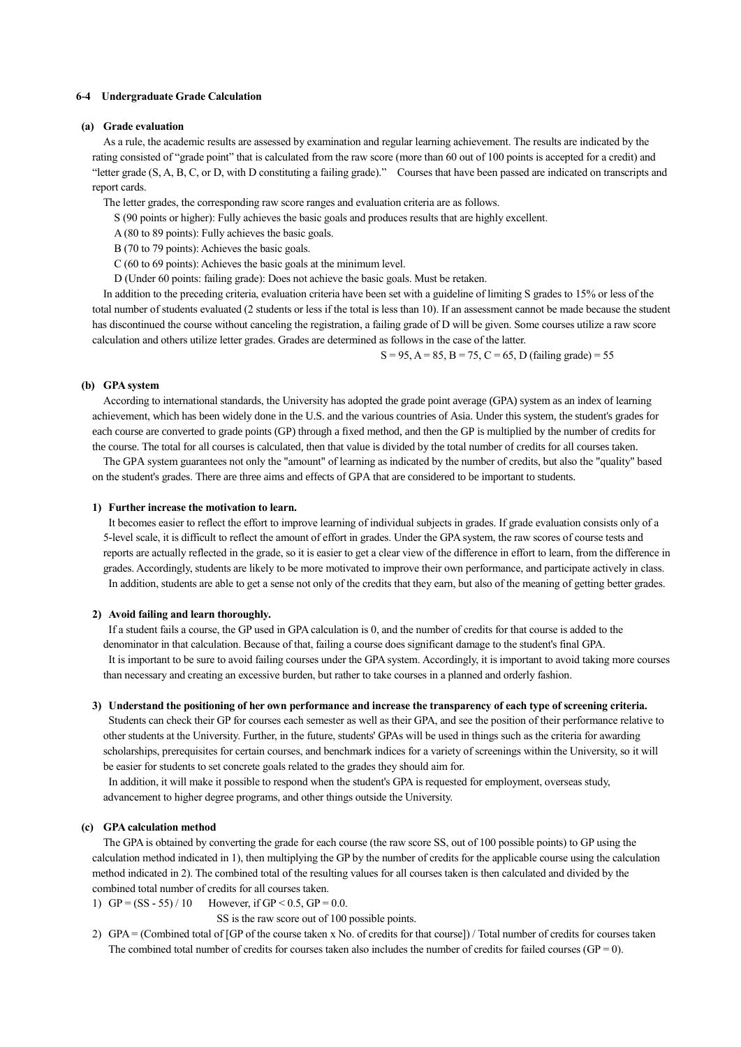### **6-4 Undergraduate Grade Calculation**

### **(a) Grade evaluation**

As a rule, the academic results are assessed by examination and regular learning achievement. The results are indicated by the rating consisted of "grade point" that is calculated from the raw score (more than 60 out of 100 points is accepted for a credit) and "letter grade (S, A, B, C, or D, with D constituting a failing grade)." Courses that have been passed are indicated on transcripts and report cards.

The letter grades, the corresponding raw score ranges and evaluation criteria are as follows.

S (90 points or higher): Fully achieves the basic goals and produces results that are highly excellent.

A (80 to 89 points): Fully achieves the basic goals.

B (70 to 79 points): Achieves the basic goals.

C (60 to 69 points): Achieves the basic goals at the minimum level.

D (Under 60 points: failing grade): Does not achieve the basic goals. Must be retaken.

In addition to the preceding criteria, evaluation criteria have been set with a guideline of limiting S grades to 15% or less of the total number of students evaluated (2 students or less if the total is less than 10). If an assessment cannot be made because the student has discontinued the course without canceling the registration, a failing grade of D will be given. Some courses utilize a raw score calculation and others utilize letter grades. Grades are determined as follows in the case of the latter.

 $S = 95$ ,  $A = 85$ ,  $B = 75$ ,  $C = 65$ ,  $D$  (failing grade) = 55

### **(b) GPA system**

According to international standards, the University has adopted the grade point average (GPA) system as an index of learning achievement, which has been widely done in the U.S. and the various countries of Asia. Under this system, the student's grades for each course are converted to grade points (GP) through a fixed method, and then the GP is multiplied by the number of credits for the course. The total for all courses is calculated, then that value is divided by the total number of credits for all courses taken.

The GPA system guarantees not only the "amount" of learning as indicated by the number of credits, but also the "quality" based on the student's grades. There are three aims and effects of GPA that are considered to be important to students.

### **1) Further increase the motivation to learn.**

It becomes easier to reflect the effort to improve learning of individual subjects in grades. If grade evaluation consists only of a 5-level scale, it is difficult to reflect the amount of effort in grades. Under the GPA system, the raw scores of course tests and reports are actually reflected in the grade, so it is easier to get a clear view of the difference in effort to learn, from the difference in grades. Accordingly, students are likely to be more motivated to improve their own performance, and participate actively in class. In addition, students are able to get a sense not only of the credits that they earn, but also of the meaning of getting better grades.

#### **2) Avoid failing and learn thoroughly.**

If a student fails a course, the GP used in GPA calculation is 0, and the number of credits for that course is added to the denominator in that calculation. Because of that, failing a course does significant damage to the student's final GPA. It is important to be sure to avoid failing courses under the GPA system. Accordingly, it is important to avoid taking more courses than necessary and creating an excessive burden, but rather to take courses in a planned and orderly fashion.

## **3) Understand the positioning of her own performance and increase the transparency of each type of screening criteria.**

Students can check their GP for courses each semester as well as their GPA, and see the position of their performance relative to other students at the University. Further, in the future, students' GPAs will be used in things such as the criteria for awarding scholarships, prerequisites for certain courses, and benchmark indices for a variety of screenings within the University, so it will be easier for students to set concrete goals related to the grades they should aim for.

In addition, it will make it possible to respond when the student's GPA is requested for employment, overseas study, advancement to higher degree programs, and other things outside the University.

# **(c) GPA calculation method**

The GPA is obtained by converting the grade for each course (the raw score SS, out of 100 possible points) to GP using the calculation method indicated in 1), then multiplying the GP by the number of credits for the applicable course using the calculation method indicated in 2). The combined total of the resulting values for all courses taken is then calculated and divided by the combined total number of credits for all courses taken.

1)  $GP = (SS - 55) / 10$  However, if  $GP < 0.5$ ,  $GP = 0.0$ .

SS is the raw score out of 100 possible points.

2) GPA = (Combined total of [GP of the course taken x No. of credits for that course]) / Total number of credits for courses taken The combined total number of credits for courses taken also includes the number of credits for failed courses (GP = 0).